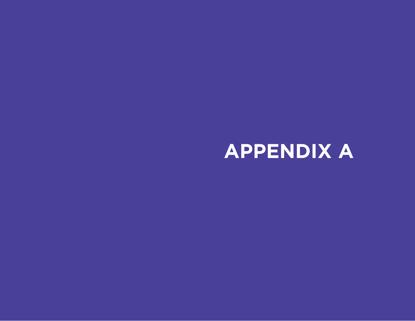## **APPENDIX A**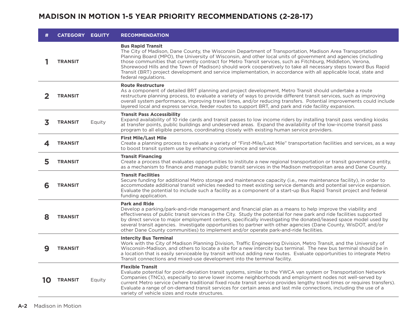## **MADISON IN MOTION 1-5 YEAR PRIORITY RECOMMENDATIONS (2-28-17)**

| <b>CATEGORY EQUITY</b> |        | <b>RECOMMENDATION</b>                                                                                                                                                                                                                                                                                                                                                                                                                                                                                                                                                                                                                 |
|------------------------|--------|---------------------------------------------------------------------------------------------------------------------------------------------------------------------------------------------------------------------------------------------------------------------------------------------------------------------------------------------------------------------------------------------------------------------------------------------------------------------------------------------------------------------------------------------------------------------------------------------------------------------------------------|
| <b>TRANSIT</b>         |        | <b>Bus Rapid Transit</b><br>The City of Madison, Dane County, the Wisconsin Department of Transportation, Madison Area Transportation<br>Planning Board (MPO), the University of Wisconsin, and other local units of government and agencies (including<br>those communities that currently contract for Metro Transit services, such as Fitchburg, Middleton, Verona,<br>Shorewood Hills and the Town of Madison) should work cooperatively to take all necessary steps toward Bus Rapid<br>Transit (BRT) project development and service implementation, in accordance with all applicable local, state and<br>federal regulations. |
| <b>TRANSIT</b>         |        | <b>Route Restructure</b><br>As a component of detailed BRT planning and project development, Metro Transit should undertake a route<br>restructure planning process, to evaluate a variety of ways to provide different transit services, such as improving<br>overall system performance, improving travel times, and/or reducing transfers. Potential improvements could include<br>layered local and express service, feeder routes to support BRT, and park and ride facility expansion.                                                                                                                                          |
| <b>TRANSIT</b>         | Equity | <b>Transit Pass Accessibility</b><br>Expand availability of 10 ride cards and transit passes to low income riders by installing transit pass vending kiosks<br>at transfer points, public buildings and undeserved areas. Expand the availability of the low-income transit pass<br>program to all eligible persons, coordinating closely with existing human service providers.                                                                                                                                                                                                                                                      |
| <b>TRANSIT</b>         |        | <b>First Mile/Last Mile</b><br>Create a planning process to evaluate a variety of "First-Mile/Last Mile" transportation facilities and services, as a way<br>to boost transit system use by enhancing convenience and service.                                                                                                                                                                                                                                                                                                                                                                                                        |
| <b>TRANSIT</b>         |        | <b>Transit Financing</b><br>Create a process that evaluates opportunities to institute a new regional transportation or transit governance entity,<br>as a mechanism to finance and manage public transit services in the Madison metropolitan area and Dane County.                                                                                                                                                                                                                                                                                                                                                                  |
| <b>TRANSIT</b>         |        | <b>Transit Facilities</b><br>Secure funding for additional Metro storage and maintenance capacity (i.e., new maintenance facility), in order to<br>accommodate additional transit vehicles needed to meet existing service demands and potential service expansion.<br>Evaluate the potential to include such a facility as a component of a start-up Bus Rapid Transit project and federal<br>funding application.                                                                                                                                                                                                                   |
| <b>TRANSIT</b>         |        | <b>Park and Ride</b><br>Develop a parking/park-and-ride management and financial plan as a means to help improve the viability and<br>effectiveness of public transit services in the City. Study the potential for new park and ride facilities supported<br>by direct service to major employment centers, specifically investigating the donated/leased space model used by<br>several transit agencies. Investigate opportunities to partner with other agencies (Dane County, WisDOT, and/or<br>other Dane County communities) to implement and/or operate park-and-ride facilities.                                             |
| <b>TRANSIT</b>         |        | <b>Intercity Bus Terminal</b><br>Work with the City of Madison Planning Division, Traffic Engineering Division, Metro Transit, and the University of<br>Wisconsin-Madison, and others to locate a site for a new intercity bus terminal. The new bus terminal should be in<br>a location that is easily serviceable by transit without adding new routes. Evaluate opportunities to integrate Metro<br>Transit connections and mixed-use development into the terminal facility.                                                                                                                                                      |
| <b>TRANSIT</b>         | Equity | <b>Flexible Transit</b><br>Evaluate potential for point-deviation transit systems, similar to the YWCA van system or Transportation Network<br>Companies (TNCs), especially to serve lower income neighborhoods and employment nodes not well-served by<br>current Metro service (where traditional fixed route transit service provides lengthy travel times or requires transfers).<br>Evaluate a range of on-demand transit services for certain areas and last mile connections, including the use of a<br>variety of vehicle sizes and route structures.                                                                         |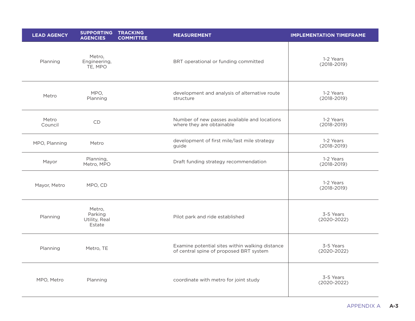| <b>LEAD AGENCY</b> | SUPPORTING TRACKING<br><b>AGENCIES</b><br><b>COMMITTEE</b> | <b>MEASUREMENT</b>                                                                         | <b>IMPLEMENTATION TIMEFRAME</b> |
|--------------------|------------------------------------------------------------|--------------------------------------------------------------------------------------------|---------------------------------|
| Planning           | Metro,<br>Engineering,<br>TE, MPO                          | BRT operational or funding committed                                                       | 1-2 Years<br>$(2018 - 2019)$    |
| Metro              | MPO,<br>Planning                                           | development and analysis of alternative route<br>structure                                 | 1-2 Years<br>$(2018 - 2019)$    |
| Metro<br>Council   | CD                                                         | Number of new passes available and locations<br>where they are obtainable                  | 1-2 Years<br>$(2018 - 2019)$    |
| MPO, Planning      | Metro                                                      | development of first mile/last mile strategy<br>guide                                      | 1-2 Years<br>$(2018 - 2019)$    |
| Mayor              | Planning,<br>Metro, MPO                                    | Draft funding strategy recommendation                                                      | 1-2 Years<br>$(2018 - 2019)$    |
| Mayor, Metro       | MPO, CD                                                    |                                                                                            | 1-2 Years<br>$(2018 - 2019)$    |
| Planning           | Metro,<br>Parking<br>Utility, Real<br>Estate               | Pilot park and ride established                                                            | 3-5 Years<br>$(2020 - 2022)$    |
| Planning           | Metro, TE                                                  | Examine potential sites within walking distance<br>of central spine of proposed BRT system | 3-5 Years<br>$(2020 - 2022)$    |
| MPO, Metro         | Planning                                                   | coordinate with metro for joint study                                                      | 3-5 Years<br>$(2020 - 2022)$    |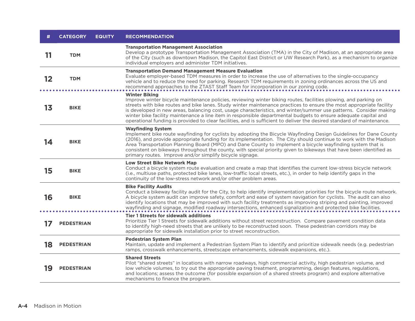|    | <b>CATEGORY</b>   | <b>EQUITY</b> | <b>RECOMMENDATION</b>                                                                                                                                                                                                                                                                                                                                                                                                                                                                                                                                                                                                            |
|----|-------------------|---------------|----------------------------------------------------------------------------------------------------------------------------------------------------------------------------------------------------------------------------------------------------------------------------------------------------------------------------------------------------------------------------------------------------------------------------------------------------------------------------------------------------------------------------------------------------------------------------------------------------------------------------------|
| 11 | <b>TDM</b>        |               | <b>Transportation Management Association</b><br>Develop a prototype Transportation Management Association (TMA) in the City of Madison, at an appropriate area<br>of the City (such as downtown Madison, the Capitol East District or UW Research Park), as a mechanism to organize<br>individual employers and administer TDM initiatives.                                                                                                                                                                                                                                                                                      |
| 12 | <b>TDM</b>        |               | <b>Transportation Demand Management Measure Evaluation</b><br>Evaluate employer-based TDM measures in order to increase the use of alternatives to the single-occupancy<br>vehicle and to reduce the need for parking. Research TDM requirements in zoning ordinances across the US and<br>recommend approaches to the ZTAST Staff Team for incorporation in our zoning code.                                                                                                                                                                                                                                                    |
| 13 | <b>BIKE</b>       |               | <b>Winter Biking</b><br>Improve winter bicycle maintenance policies, reviewing winter biking routes, facilities plowing, and parking on<br>streets with bike routes and bike lanes. Study winter maintenance practices to ensure the most appropriate facility<br>is developed in new areas, balancing cost, usage characteristics, and winter/summer use patterns. Consider making<br>winter bike facility maintenance a line item in responsible departmental budgets to ensure adequate capital and<br>operational funding is provided to clear facilities, and is sufficient to deliver the desired standard of maintenance. |
| 14 | <b>BIKE</b>       |               | <b>Wayfinding System</b><br>Implement bike route wayfinding for cyclists by adopting the Bicycle Wayfinding Design Guidelines for Dane County<br>(2016), and provide appropriate funding for its implementation. The City should continue to work with the Madison<br>Area Transportation Planning Board (MPO) and Dane County to implement a bicycle wayfinding system that is<br>consistent on bikeways throughout the county, with special priority given to bikeways that have been identified as<br>primary routes. Improve and/or simplify bicycle signage.                                                                |
| 15 | <b>BIKE</b>       |               | <b>Low Street Bike Network Map</b><br>Conduct a bicycle system route evaluation and create a map that identifies the current low-stress bicycle network<br>(i.e., multiuse paths, protected bike lanes, low-traffic local streets, etc.), in order to help identify gaps in the<br>continuity of the low-stress network and/or other problem areas.                                                                                                                                                                                                                                                                              |
| 16 | <b>BIKE</b>       |               | <b>Bike Facility Audits</b><br>Conduct a bikeway facility audit for the City, to help identify implementation priorities for the bicycle route network.<br>A bicycle system audit can improve safety, comfort and ease of system navigation for cyclists. The audit can also<br>identify locations that may be improved with such facility treatments as improving striping and painting, improved<br>wayfinding and signage, modified roadway intersections, enhanced signalization and protected bike facilities.                                                                                                              |
|    | <b>PEDESTRIAN</b> |               | <b>Tier 1 Streets for sidewalk additions</b><br>Prioritize Tier 1 Streets for sidewalk additions without street reconstruction. Compare pavement condition data<br>to identify high-need streets that are unlikely to be reconstructed soon. These pedestrian corridors may be<br>appropriate for sidewalk installation prior to street reconstruction.                                                                                                                                                                                                                                                                          |
| 18 | <b>PEDESTRIAN</b> |               | <b>Pedestrian System Plan</b><br>Maintain, update and implement a Pedestrian System Plan to identify and prioritize sidewalk needs (e.g. pedestrian<br>ramps, crosswalk enhancements, streetscape enhancements, sidewalk expansions, etc.).                                                                                                                                                                                                                                                                                                                                                                                      |
| 19 | <b>PEDESTRIAN</b> |               | <b>Shared Streets</b><br>Pilot "shared streets" in locations with narrow roadways, high commercial activity, high pedestrian volume, and<br>low vehicle volumes, to try out the appropriate paving treatment, programming, design features, regulations,<br>and locations; assess the outcome (for possible expansion of a shared streets program) and explore alternative<br>mechanisms to finance the program.                                                                                                                                                                                                                 |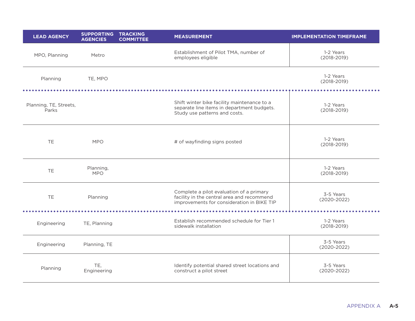| <b>LEAD AGENCY</b>              | SUPPORTING TRACKING<br><b>AGENCIES</b><br><b>COMMITTEE</b> | <b>MEASUREMENT</b>                                                                                                                   | <b>IMPLEMENTATION TIMEFRAME</b> |
|---------------------------------|------------------------------------------------------------|--------------------------------------------------------------------------------------------------------------------------------------|---------------------------------|
| MPO, Planning                   | Metro                                                      | Establishment of Pilot TMA, number of<br>employees eligible                                                                          | 1-2 Years<br>$(2018 - 2019)$    |
| Planning                        | TE, MPO                                                    |                                                                                                                                      | 1-2 Years<br>$(2018 - 2019)$    |
| Planning, TE, Streets,<br>Parks |                                                            | Shift winter bike facility maintenance to a<br>separate line items in department budgets.<br>Study use patterns and costs.           | 1-2 Years<br>$(2018 - 2019)$    |
| TE.                             | <b>MPO</b>                                                 | # of wayfinding signs posted                                                                                                         | 1-2 Years<br>$(2018 - 2019)$    |
| TE.                             | Planning,<br><b>MPO</b>                                    |                                                                                                                                      | 1-2 Years<br>$(2018 - 2019)$    |
| TE                              | Planning                                                   | Complete a pilot evaluation of a primary<br>facility in the central area and recommend<br>improvements for consideration in BIKE TIP | 3-5 Years<br>$(2020 - 2022)$    |
| Engineering                     | TE, Planning                                               | Establish recommended schedule for Tier 1<br>sidewalk installation                                                                   | 1-2 Years<br>$(2018 - 2019)$    |
| Engineering                     | Planning, TE                                               |                                                                                                                                      | 3-5 Years<br>$(2020 - 2022)$    |
| Planning                        | TE,<br>Engineering                                         | Identify potential shared street locations and<br>construct a pilot street                                                           | 3-5 Years<br>$(2020 - 2022)$    |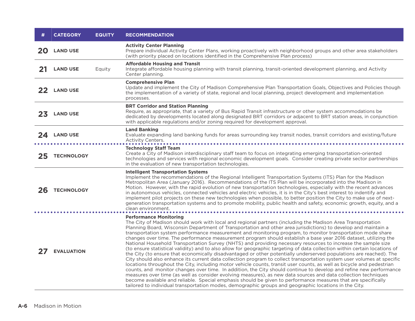|    | <b>CATEGORY</b>   | <b>EQUITY</b> | <b>RECOMMENDATION</b>                                                                                                                                                                                                                                                                                                                                                                                                                                                                                                                                                                                                                                                                                                                                                                                                                                                                                                                                                                                                                                                                                                                                                                                                                                                                                                                                                                                                                                                                                                                                                                     |
|----|-------------------|---------------|-------------------------------------------------------------------------------------------------------------------------------------------------------------------------------------------------------------------------------------------------------------------------------------------------------------------------------------------------------------------------------------------------------------------------------------------------------------------------------------------------------------------------------------------------------------------------------------------------------------------------------------------------------------------------------------------------------------------------------------------------------------------------------------------------------------------------------------------------------------------------------------------------------------------------------------------------------------------------------------------------------------------------------------------------------------------------------------------------------------------------------------------------------------------------------------------------------------------------------------------------------------------------------------------------------------------------------------------------------------------------------------------------------------------------------------------------------------------------------------------------------------------------------------------------------------------------------------------|
| 20 | <b>LAND USE</b>   |               | <b>Activity Center Planning</b><br>Prepare individual Activity Center Plans, working proactively with neighborhood groups and other area stakeholders<br>(with priority placed on locations identified in the Comprehensive Plan process)                                                                                                                                                                                                                                                                                                                                                                                                                                                                                                                                                                                                                                                                                                                                                                                                                                                                                                                                                                                                                                                                                                                                                                                                                                                                                                                                                 |
| 21 | <b>LAND USE</b>   | Equity        | <b>Affordable Housing and Transit</b><br>Integrate affordable housing planning with transit planning, transit-oriented development planning, and Activity<br>Center planning.                                                                                                                                                                                                                                                                                                                                                                                                                                                                                                                                                                                                                                                                                                                                                                                                                                                                                                                                                                                                                                                                                                                                                                                                                                                                                                                                                                                                             |
| 22 | <b>LAND USE</b>   |               | <b>Comprehensive Plan</b><br>Update and implement the City of Madison Comprehensive Plan Transportation Goals, Objectives and Policies though<br>the implementation of a variety of state, regional and local planning, project development and implementation<br>processes.                                                                                                                                                                                                                                                                                                                                                                                                                                                                                                                                                                                                                                                                                                                                                                                                                                                                                                                                                                                                                                                                                                                                                                                                                                                                                                              |
| 23 | <b>LAND USE</b>   |               | <b>BRT Corridor and Station Planning</b><br>Require, as appropriate, that a variety of Bus Rapid Transit infrastructure or other system accommodations be<br>dedicated by developments located along designated BRT corridors or adjacent to BRT station areas, in conjunction<br>with applicable regulations and/or zoning required for development approval.                                                                                                                                                                                                                                                                                                                                                                                                                                                                                                                                                                                                                                                                                                                                                                                                                                                                                                                                                                                                                                                                                                                                                                                                                            |
| 24 | <b>LAND USE</b>   |               | <b>Land Banking</b><br>Evaluate expanding land banking funds for areas surrounding key transit nodes, transit corridors and existing/future<br>Activity Centers.                                                                                                                                                                                                                                                                                                                                                                                                                                                                                                                                                                                                                                                                                                                                                                                                                                                                                                                                                                                                                                                                                                                                                                                                                                                                                                                                                                                                                          |
| 25 | <b>TECHNOLOGY</b> |               | <b>Technology Staff Team</b><br>Create a City of Madison interdisciplinary staff team to focus on integrating emerging transportation-oriented<br>technologies and services with regional economic development goals. Consider creating private sector partnerships<br>in the evaluation of new transportation technologies.                                                                                                                                                                                                                                                                                                                                                                                                                                                                                                                                                                                                                                                                                                                                                                                                                                                                                                                                                                                                                                                                                                                                                                                                                                                              |
| 26 | <b>TECHNOLOGY</b> |               | <b>Intelligent Transportation Systems</b><br>Implement the recommendations of the Regional Intelligent Transportation Systems (ITS) Plan for the Madison<br>Metropolitan Area (January 2016). Recommendations of the ITS Plan will be incorporated into the Madison in<br>Motion. However, with the rapid evolution of new transportation technologies, especially with the recent advances<br>in autonomous vehicles, connected vehicles and electric vehicles, it is in the City's best interest to indentify and<br>implement pilot projects on these new technologies when possible, to better position the City to make use of next-<br>generation transportation systems and to promote mobility, public health and safety, economic growth, equity, and a<br>clean environment.                                                                                                                                                                                                                                                                                                                                                                                                                                                                                                                                                                                                                                                                                                                                                                                                    |
|    | <b>EVALUATION</b> |               | <b>Performance Monitoring</b><br>The City of Madison should work with local and regional partners (including the Madison Area Transportation<br>Planning Board, Wisconsin Department of Transportation and other area jurisdictions) to develop and maintain a<br>transportation system performance measurement and monitoring program, to monitor transportation mode share<br>changes over time. The performance measurement program should establish a base year 2016 dataset, utilizing the<br>National Household Transportation Survey (NHTS) and providing necessary resources to increase the sample size<br>(to ensure statistical validity) and to also allow for geographic targeting of data collection within certain locations of<br>the City (to ensure that economically disadvantaged or other potentially underserved populations are reached). The<br>City should also enhance its current data collection program to collect transportation system user volumes at specific<br>locations throughout the City, including motor vehicle counts, transit user counts, as well as bicycle and pedestrian<br>counts, and monitor changes over time. In addition, the City should continue to develop and refine new performance<br>measures over time (as well as consider evolving measures), as new data sources and data collection techniques<br>become available and reliable. Special emphasis should be given to performance measures that are specifically<br>tailored to individual transportation modes, demographic groups and geographic locations in the City. |